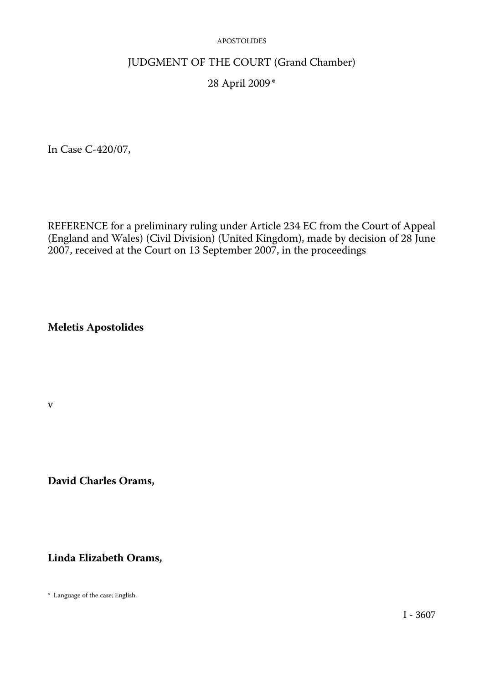## JUDGMENT OF THE COURT (Grand Chamber)

# 28 April 2009 \*

In Case C-420/07,

REFERENCE for a preliminary ruling under Article 234 EC from the Court of Appeal (England and Wales) (Civil Division) (United Kingdom), made by decision of 28 June 2007, received at the Court on 13 September 2007, in the proceedings

**Meletis Apostolides** 

v

**David Charles Orams,** 

**Linda Elizabeth Orams,** 

\* Language of the case: English.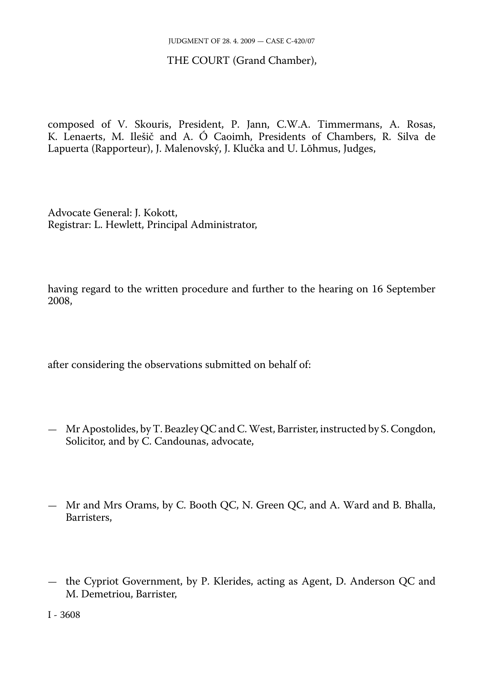### THE COURT (Grand Chamber),

composed of V. Skouris, President, P. Jann, C.W.A. Timmermans, A. Rosas, K. Lenaerts, M. Ilešič and A. Ó Caoimh, Presidents of Chambers, R. Silva de Lapuerta (Rapporteur), J. Malenovský, J. Klučka and U. Lõhmus, Judges,

Advocate General: J. Kokott, Registrar: L. Hewlett, Principal Administrator,

having regard to the written procedure and further to the hearing on 16 September 2008,

after considering the observations submitted on behalf of:

- Mr Apostolides, by T. Beazley QC and C. West, Barrister, instructed by S. Congdon, Solicitor, and by C. Candounas, advocate,
- Mr and Mrs Orams, by C. Booth QC, N. Green QC, and A. Ward and B. Bhalla, Barristers,
- the Cypriot Government, by P. Klerides, acting as Agent, D. Anderson QC and M. Demetriou, Barrister,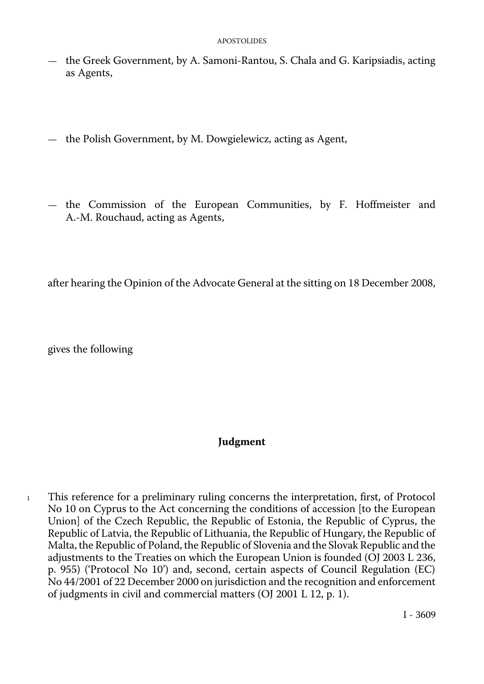- the Greek Government, by A. Samoni-Rantou, S. Chala and G. Karipsiadis, acting as Agents,
- the Polish Government, by M. Dowgielewicz, acting as Agent,
- the Commission of the European Communities, by F. Hoffmeister and A.-M. Rouchaud, acting as Agents,

after hearing the Opinion of the Advocate General at the sitting on 18 December 2008,

gives the following

# **Judgment**

1 This reference for a preliminary ruling concerns the interpretation, first, of Protocol No 10 on Cyprus to the Act concerning the conditions of accession [to the European Union] of the Czech Republic, the Republic of Estonia, the Republic of Cyprus, the Republic of Latvia, the Republic of Lithuania, the Republic of Hungary, the Republic of Malta, the Republic of Poland, the Republic of Slovenia and the Slovak Republic and the adjustments to the Treaties on which the European Union is founded (OJ 2003 L 236, p. 955) ('Protocol No 10') and, second, certain aspects of Council Regulation (EC) No 44/2001 of 22 December 2000 on jurisdiction and the recognition and enforcement of judgments in civil and commercial matters (OJ 2001 L 12, p. 1).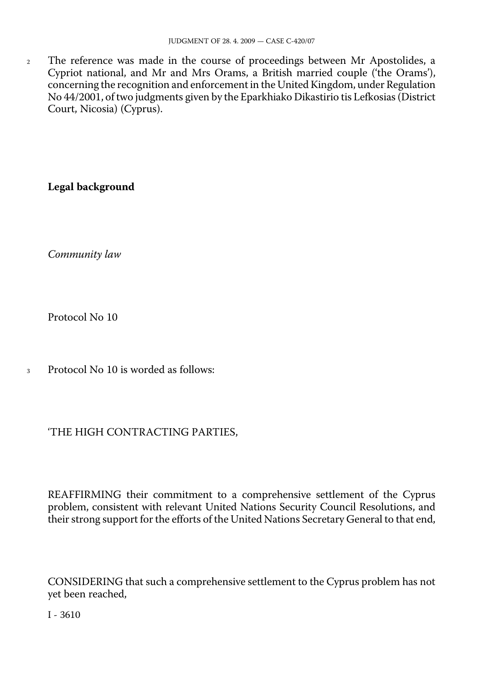<sup>2</sup> The reference was made in the course of proceedings between Mr Apostolides, a Cypriot national, and Mr and Mrs Orams, a British married couple ('the Orams'), concerning the recognition and enforcement in the United Kingdom, under Regulation No 44/2001, of two judgments given by the Eparkhiako Dikastirio tis Lefkosias (District Court, Nicosia) (Cyprus).

**Legal background** 

*Community law* 

Protocol No 10

<sup>3</sup> Protocol No 10 is worded as follows:

# 'THE HIGH CONTRACTING PARTIES,

REAFFIRMING their commitment to a comprehensive settlement of the Cyprus problem, consistent with relevant United Nations Security Council Resolutions, and their strong support for the efforts of the United Nations Secretary General to that end,

CONSIDERING that such a comprehensive settlement to the Cyprus problem has not yet been reached,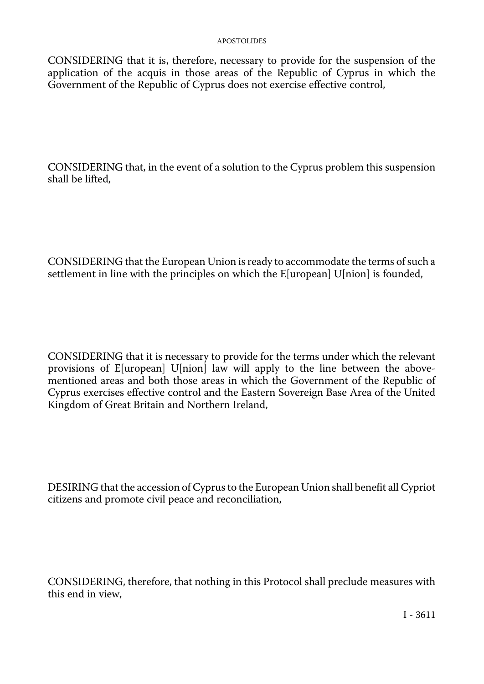CONSIDERING that it is, therefore, necessary to provide for the suspension of the application of the acquis in those areas of the Republic of Cyprus in which the Government of the Republic of Cyprus does not exercise effective control,

CONSIDERING that, in the event of a solution to the Cyprus problem this suspension shall be lifted,

CONSIDERING that the European Union is ready to accommodate the terms of such a settlement in line with the principles on which the E[uropean] U[nion] is founded,

CONSIDERING that it is necessary to provide for the terms under which the relevant provisions of E[uropean] U[nion] law will apply to the line between the abovementioned areas and both those areas in which the Government of the Republic of Cyprus exercises effective control and the Eastern Sovereign Base Area of the United Kingdom of Great Britain and Northern Ireland,

DESIRING that the accession of Cyprus to the European Union shall benefit all Cypriot citizens and promote civil peace and reconciliation,

CONSIDERING, therefore, that nothing in this Protocol shall preclude measures with this end in view,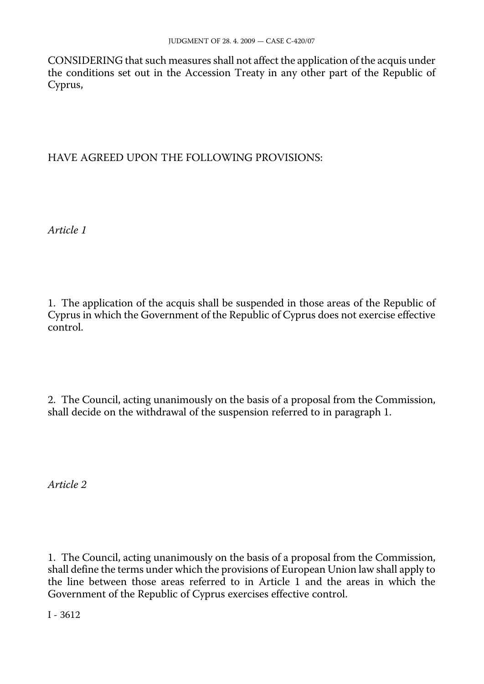CONSIDERING that such measures shall not affect the application of the acquis under the conditions set out in the Accession Treaty in any other part of the Republic of Cyprus,

## HAVE AGREED UPON THE FOLLOWING PROVISIONS:

*Article 1* 

1. The application of the acquis shall be suspended in those areas of the Republic of Cyprus in which the Government of the Republic of Cyprus does not exercise effective control.

2. The Council, acting unanimously on the basis of a proposal from the Commission, shall decide on the withdrawal of the suspension referred to in paragraph 1.

*Article 2* 

1. The Council, acting unanimously on the basis of a proposal from the Commission, shall define the terms under which the provisions of European Union law shall apply to the line between those areas referred to in Article 1 and the areas in which the Government of the Republic of Cyprus exercises effective control.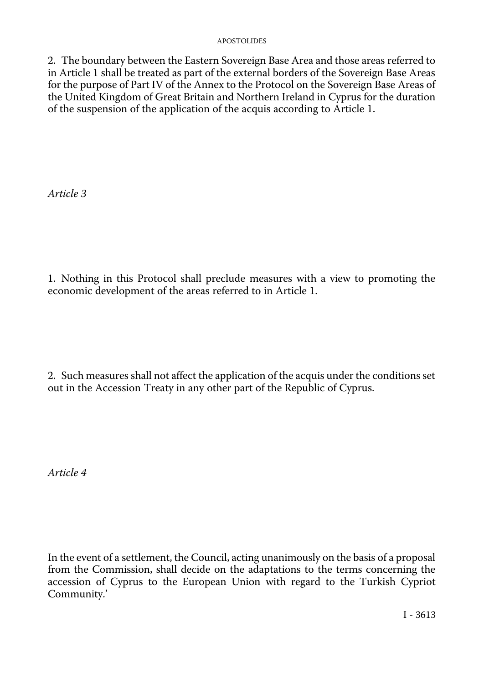2. The boundary between the Eastern Sovereign Base Area and those areas referred to in Article 1 shall be treated as part of the external borders of the Sovereign Base Areas for the purpose of Part IV of the Annex to the Protocol on the Sovereign Base Areas of the United Kingdom of Great Britain and Northern Ireland in Cyprus for the duration of the suspension of the application of the acquis according to Article 1.

*Article 3* 

1. Nothing in this Protocol shall preclude measures with a view to promoting the economic development of the areas referred to in Article 1.

2. Such measures shall not affect the application of the acquis under the conditions set out in the Accession Treaty in any other part of the Republic of Cyprus.

*Article 4* 

In the event of a settlement, the Council, acting unanimously on the basis of a proposal from the Commission, shall decide on the adaptations to the terms concerning the accession of Cyprus to the European Union with regard to the Turkish Cypriot Community.'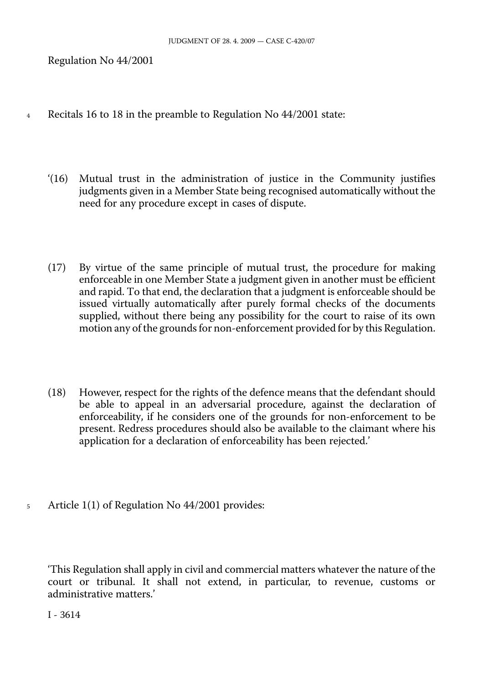Regulation No 44/2001

- 4 Recitals 16 to 18 in the preamble to Regulation No 44/2001 state:
	- '(16) Mutual trust in the administration of justice in the Community justifies judgments given in a Member State being recognised automatically without the need for any procedure except in cases of dispute.
	- (17) By virtue of the same principle of mutual trust, the procedure for making enforceable in one Member State a judgment given in another must be efficient and rapid. To that end, the declaration that a judgment is enforceable should be issued virtually automatically after purely formal checks of the documents supplied, without there being any possibility for the court to raise of its own motion any of the grounds for non-enforcement provided for by this Regulation.
	- (18) However, respect for the rights of the defence means that the defendant should be able to appeal in an adversarial procedure, against the declaration of enforceability, if he considers one of the grounds for non-enforcement to be present. Redress procedures should also be available to the claimant where his application for a declaration of enforceability has been rejected.'
- 5 Article 1(1) of Regulation No 44/2001 provides:

'This Regulation shall apply in civil and commercial matters whatever the nature of the court or tribunal. It shall not extend, in particular, to revenue, customs or administrative matters.'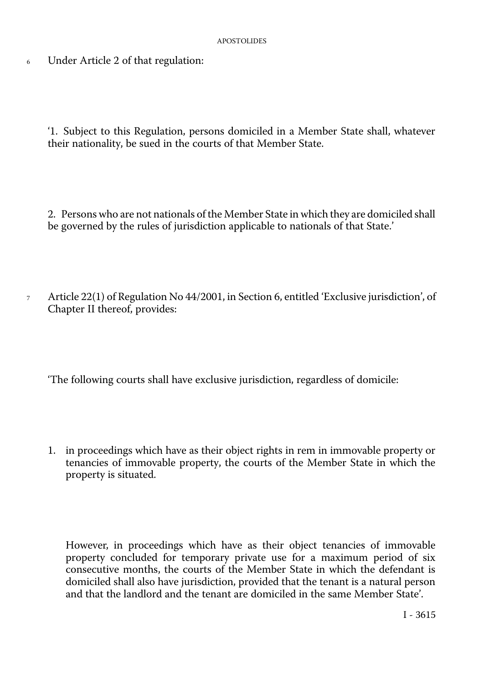<sup>6</sup> Under Article 2 of that regulation:

'1. Subject to this Regulation, persons domiciled in a Member State shall, whatever their nationality, be sued in the courts of that Member State.

2. Persons who are not nationals of the Member State in which they are domiciled shall be governed by the rules of jurisdiction applicable to nationals of that State.'

<sup>7</sup> Article 22(1) of Regulation No 44/2001, in Section 6, entitled 'Exclusive jurisdiction', of Chapter II thereof, provides:

'The following courts shall have exclusive jurisdiction, regardless of domicile:

1. in proceedings which have as their object rights in rem in immovable property or tenancies of immovable property, the courts of the Member State in which the property is situated.

However, in proceedings which have as their object tenancies of immovable property concluded for temporary private use for a maximum period of six consecutive months, the courts of the Member State in which the defendant is domiciled shall also have jurisdiction, provided that the tenant is a natural person and that the landlord and the tenant are domiciled in the same Member State'.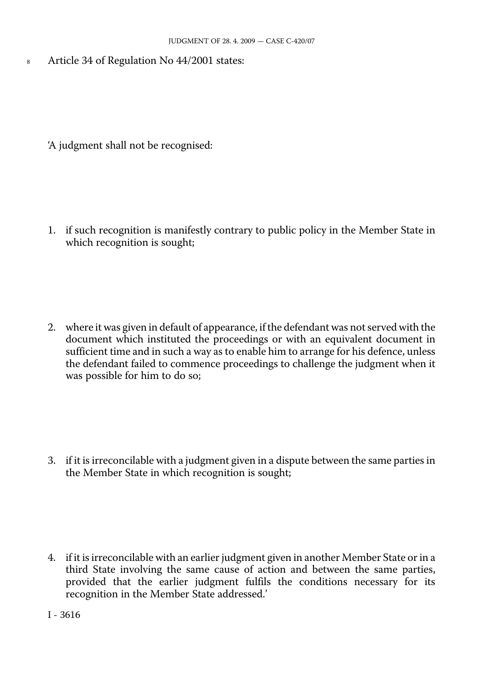8 Article 34 of Regulation No 44/2001 states:

'A judgment shall not be recognised:

1. if such recognition is manifestly contrary to public policy in the Member State in which recognition is sought;

2. where it was given in default of appearance, if the defendant was not served with the document which instituted the proceedings or with an equivalent document in sufficient time and in such a way as to enable him to arrange for his defence, unless the defendant failed to commence proceedings to challenge the judgment when it was possible for him to do so;

3. if it is irreconcilable with a judgment given in a dispute between the same parties in the Member State in which recognition is sought;

4. if it is irreconcilable with an earlier judgment given in another Member State or in a third State involving the same cause of action and between the same parties, provided that the earlier judgment fulfils the conditions necessary for its recognition in the Member State addressed.'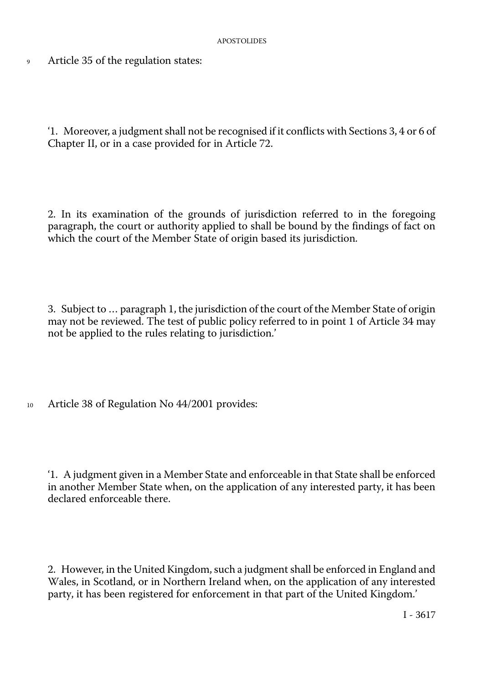9 Article 35 of the regulation states:

'1. Moreover, a judgment shall not be recognised if it conflicts with Sections 3, 4 or 6 of Chapter II, or in a case provided for in Article 72.

2. In its examination of the grounds of jurisdiction referred to in the foregoing paragraph, the court or authority applied to shall be bound by the findings of fact on which the court of the Member State of origin based its jurisdiction.

3. Subject to … paragraph 1, the jurisdiction of the court of the Member State of origin may not be reviewed. The test of public policy referred to in point 1 of Article 34 may not be applied to the rules relating to jurisdiction.'

10 Article 38 of Regulation No 44/2001 provides:

'1. A judgment given in a Member State and enforceable in that State shall be enforced in another Member State when, on the application of any interested party, it has been declared enforceable there.

2. However, in the United Kingdom, such a judgment shall be enforced in England and Wales, in Scotland, or in Northern Ireland when, on the application of any interested party, it has been registered for enforcement in that part of the United Kingdom.'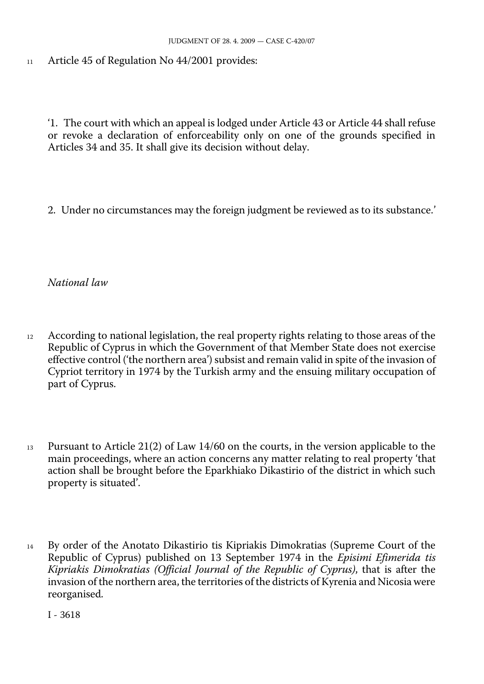<sup>11</sup> Article 45 of Regulation No 44/2001 provides:

'1. The court with which an appeal is lodged under Article 43 or Article 44 shall refuse or revoke a declaration of enforceability only on one of the grounds specified in Articles 34 and 35. It shall give its decision without delay.

2. Under no circumstances may the foreign judgment be reviewed as to its substance.'

*National law* 

- <sup>12</sup> According to national legislation, the real property rights relating to those areas of the Republic of Cyprus in which the Government of that Member State does not exercise effective control ('the northern area') subsist and remain valid in spite of the invasion of Cypriot territory in 1974 by the Turkish army and the ensuing military occupation of part of Cyprus.
- <sup>13</sup> Pursuant to Article 21(2) of Law 14/60 on the courts, in the version applicable to the main proceedings, where an action concerns any matter relating to real property 'that action shall be brought before the Eparkhiako Dikastirio of the district in which such property is situated'.
- <sup>14</sup> By order of the Anotato Dikastirio tis Kipriakis Dimokratias (Supreme Court of the Republic of Cyprus) published on 13 September 1974 in the *Episimi Efimerida tis Kipriakis Dimokratias (Official Journal of the Republic of Cyprus)*, that is after the invasion of the northern area, the territories of the districts of Kyrenia and Nicosia were reorganised.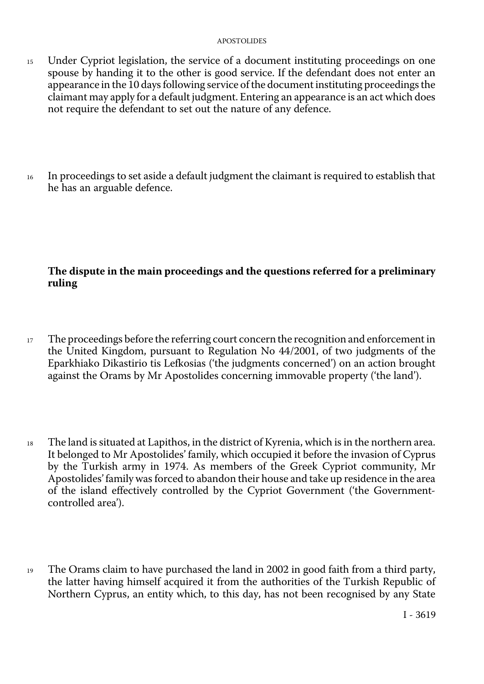- <sup>15</sup> Under Cypriot legislation, the service of a document instituting proceedings on one spouse by handing it to the other is good service. If the defendant does not enter an appearance in the 10 days following service of the document instituting proceedings the claimant may apply for a default judgment. Entering an appearance is an act which does not require the defendant to set out the nature of any defence.
- <sup>16</sup> In proceedings to set aside a default judgment the claimant is required to establish that he has an arguable defence.

# **The dispute in the main proceedings and the questions referred for a preliminary ruling**

- <sup>17</sup> The proceedings before the referring court concern the recognition and enforcement in the United Kingdom, pursuant to Regulation No 44/2001, of two judgments of the Eparkhiako Dikastirio tis Lefkosias ('the judgments concerned') on an action brought against the Orams by Mr Apostolides concerning immovable property ('the land').
- <sup>18</sup> The land is situated at Lapithos, in the district of Kyrenia, which is in the northern area. It belonged to Mr Apostolides' family, which occupied it before the invasion of Cyprus by the Turkish army in 1974. As members of the Greek Cypriot community, Mr Apostolides'family was forced to abandon their house and take up residence in the area of the island effectively controlled by the Cypriot Government ('the Governmentcontrolled area').
- <sup>19</sup> The Orams claim to have purchased the land in 2002 in good faith from a third party, the latter having himself acquired it from the authorities of the Turkish Republic of Northern Cyprus, an entity which, to this day, has not been recognised by any State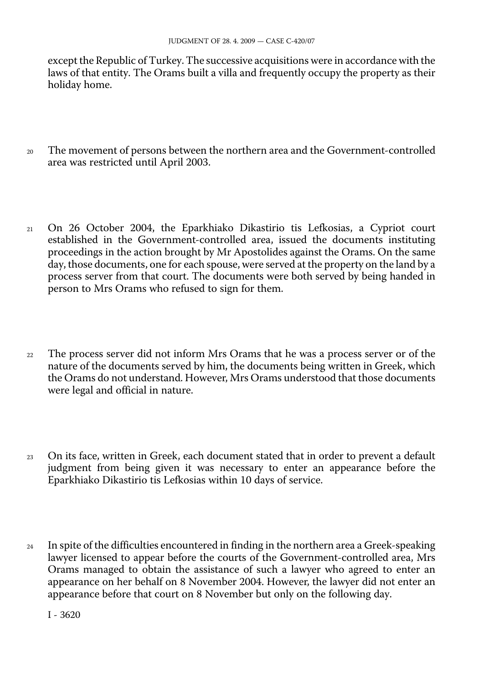except the Republic of Turkey. The successive acquisitions were in accordance with the laws of that entity. The Orams built a villa and frequently occupy the property as their holiday home.

- <sup>20</sup> The movement of persons between the northern area and the Government-controlled area was restricted until April 2003.
- <sup>21</sup> On 26 October 2004, the Eparkhiako Dikastirio tis Lefkosias, a Cypriot court established in the Government-controlled area, issued the documents instituting proceedings in the action brought by Mr Apostolides against the Orams. On the same day, those documents, one for each spouse, were served at the property on the land by a process server from that court. The documents were both served by being handed in person to Mrs Orams who refused to sign for them.
- <sup>22</sup> The process server did not inform Mrs Orams that he was a process server or of the nature of the documents served by him, the documents being written in Greek, which the Orams do not understand. However, Mrs Orams understood that those documents were legal and official in nature.
- <sup>23</sup> On its face, written in Greek, each document stated that in order to prevent a default judgment from being given it was necessary to enter an appearance before the Eparkhiako Dikastirio tis Lefkosias within 10 days of service.
- <sup>24</sup> In spite of the difficulties encountered in finding in the northern area a Greek-speaking lawyer licensed to appear before the courts of the Government-controlled area, Mrs Orams managed to obtain the assistance of such a lawyer who agreed to enter an appearance on her behalf on 8 November 2004. However, the lawyer did not enter an appearance before that court on 8 November but only on the following day.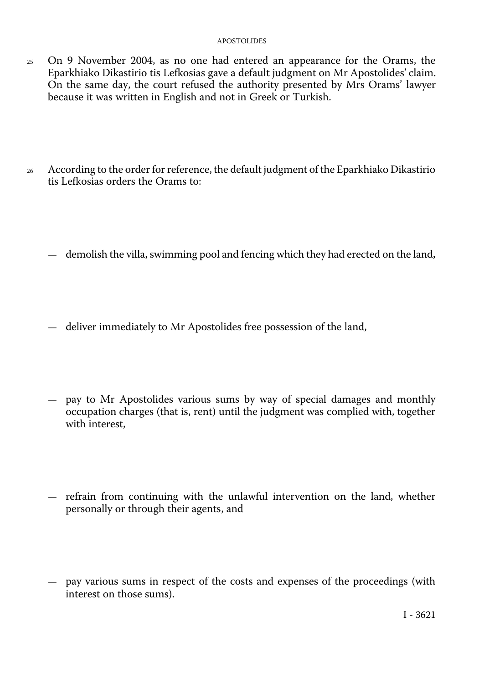- 25 On 9 November 2004, as no one had entered an appearance for the Orams, the Eparkhiako Dikastirio tis Lefkosias gave a default judgment on Mr Apostolides' claim. On the same day, the court refused the authority presented by Mrs Orams' lawyer because it was written in English and not in Greek or Turkish.
- 26 According to the order for reference, the default judgment of the Eparkhiako Dikastirio tis Lefkosias orders the Orams to:
	- demolish the villa, swimming pool and fencing which they had erected on the land,
	- deliver immediately to Mr Apostolides free possession of the land,
	- pay to Mr Apostolides various sums by way of special damages and monthly occupation charges (that is, rent) until the judgment was complied with, together with interest,
	- refrain from continuing with the unlawful intervention on the land, whether personally or through their agents, and
	- pay various sums in respect of the costs and expenses of the proceedings (with interest on those sums).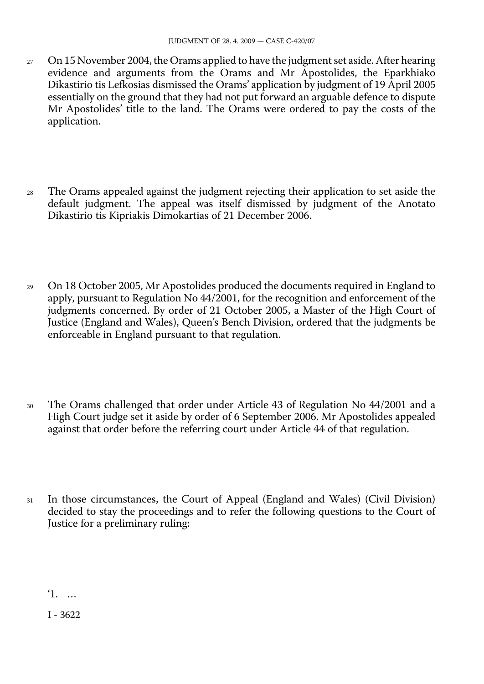- $27$  On 15 November 2004, the Orams applied to have the judgment set aside. After hearing evidence and arguments from the Orams and Mr Apostolides, the Eparkhiako Dikastirio tis Lefkosias dismissed the Orams' application by judgment of 19 April 2005 essentially on the ground that they had not put forward an arguable defence to dispute Mr Apostolides' title to the land. The Orams were ordered to pay the costs of the application.
- <sup>28</sup> The Orams appealed against the judgment rejecting their application to set aside the default judgment. The appeal was itself dismissed by judgment of the Anotato Dikastirio tis Kipriakis Dimokartias of 21 December 2006.
- <sup>29</sup> On 18 October 2005, Mr Apostolides produced the documents required in England to apply, pursuant to Regulation No 44/2001, for the recognition and enforcement of the judgments concerned. By order of 21 October 2005, a Master of the High Court of Justice (England and Wales), Queen's Bench Division, ordered that the judgments be enforceable in England pursuant to that regulation.
- <sup>30</sup> The Orams challenged that order under Article 43 of Regulation No 44/2001 and a High Court judge set it aside by order of 6 September 2006. Mr Apostolides appealed against that order before the referring court under Article 44 of that regulation.
- <sup>31</sup> In those circumstances, the Court of Appeal (England and Wales) (Civil Division) decided to stay the proceedings and to refer the following questions to the Court of Justice for a preliminary ruling:

'1. …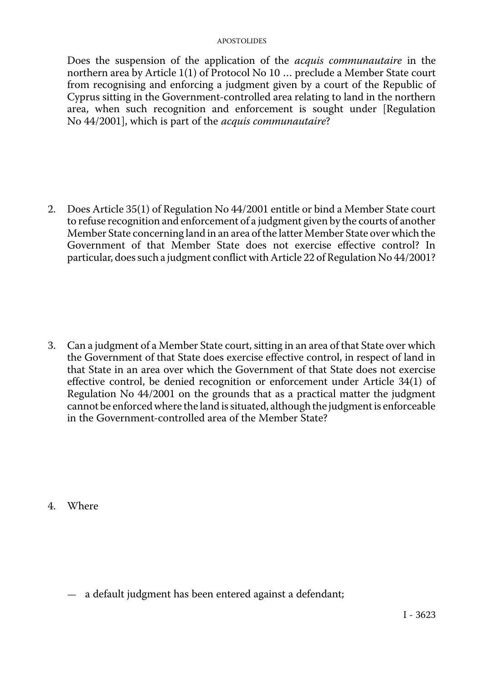Does the suspension of the application of the *acquis communautaire* in the northern area by Article 1(1) of Protocol No 10 … preclude a Member State court from recognising and enforcing a judgment given by a court of the Republic of Cyprus sitting in the Government-controlled area relating to land in the northern area, when such recognition and enforcement is sought under [Regulation No 44/2001], which is part of the *acquis communautaire*?

2. Does Article 35(1) of Regulation No 44/2001 entitle or bind a Member State court to refuse recognition and enforcement of a judgment given by the courts of another Member State concerning land in an area of the latter Member State over which the Government of that Member State does not exercise effective control? In particular, does such a judgment conflict with Article 22 of Regulation No 44/2001?

3. Can a judgment of a Member State court, sitting in an area of that State over which the Government of that State does exercise effective control, in respect of land in that State in an area over which the Government of that State does not exercise effective control, be denied recognition or enforcement under Article 34(1) of Regulation No 44/2001 on the grounds that as a practical matter the judgment cannot be enforced where the land is situated, although the judgment is enforceable in the Government-controlled area of the Member State?

4. Where

— a default judgment has been entered against a defendant;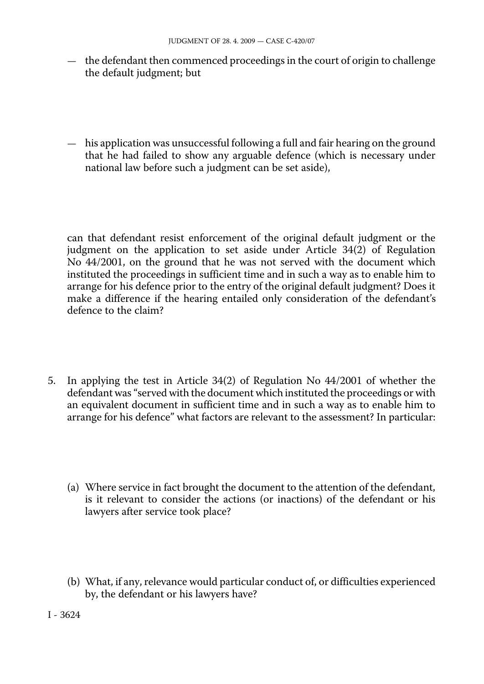- the defendant then commenced proceedings in the court of origin to challenge the default judgment; but
- his application was unsuccessful following a full and fair hearing on the ground that he had failed to show any arguable defence (which is necessary under national law before such a judgment can be set aside),

can that defendant resist enforcement of the original default judgment or the judgment on the application to set aside under Article 34(2) of Regulation No 44/2001, on the ground that he was not served with the document which instituted the proceedings in sufficient time and in such a way as to enable him to arrange for his defence prior to the entry of the original default judgment? Does it make a difference if the hearing entailed only consideration of the defendant's defence to the claim?

- 5. In applying the test in Article 34(2) of Regulation No 44/2001 of whether the defendant was "served with the document which instituted the proceedings or with an equivalent document in sufficient time and in such a way as to enable him to arrange for his defence" what factors are relevant to the assessment? In particular:
	- (a) Where service in fact brought the document to the attention of the defendant, is it relevant to consider the actions (or inactions) of the defendant or his lawyers after service took place?
	- (b) What, if any, relevance would particular conduct of, or difficulties experienced by, the defendant or his lawyers have?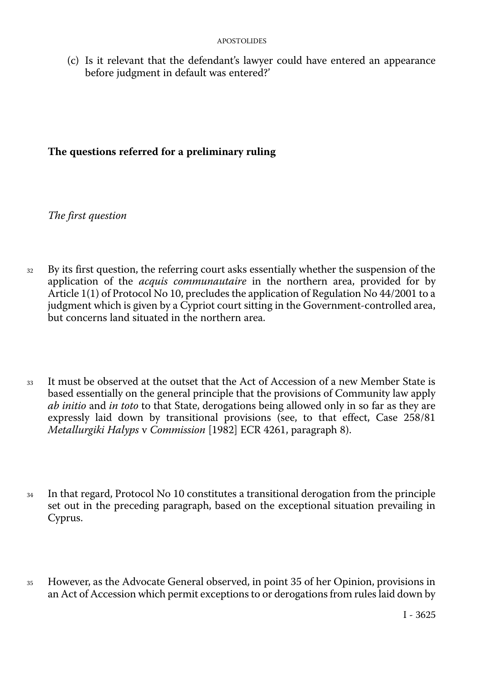(c) Is it relevant that the defendant's lawyer could have entered an appearance before judgment in default was entered?'

## **The questions referred for a preliminary ruling**

*The first question* 

- <sup>32</sup> By its first question, the referring court asks essentially whether the suspension of the application of the *acquis communautaire* in the northern area, provided for by Article 1(1) of Protocol No 10, precludes the application of Regulation No 44/2001 to a judgment which is given by a Cypriot court sitting in the Government-controlled area, but concerns land situated in the northern area.
- <sup>33</sup> It must be observed at the outset that the Act of Accession of a new Member State is based essentially on the general principle that the provisions of Community law apply *ab initio* and *in toto* to that State, derogations being allowed only in so far as they are expressly laid down by transitional provisions (see, to that effect, Case 258/81 *Metallurgiki Halyps* v *Commission* [1982] ECR 4261, paragraph 8).
- <sup>34</sup> In that regard, Protocol No 10 constitutes a transitional derogation from the principle set out in the preceding paragraph, based on the exceptional situation prevailing in Cyprus.
- <sup>35</sup> However, as the Advocate General observed, in point 35 of her Opinion, provisions in an Act of Accession which permit exceptions to or derogations from rules laid down by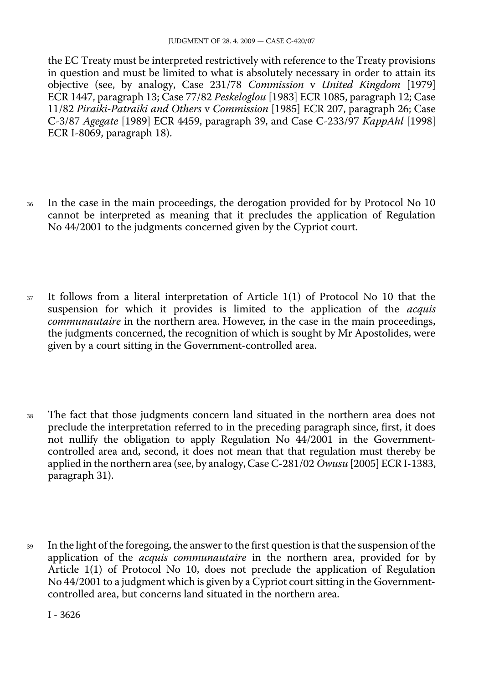the EC Treaty must be interpreted restrictively with reference to the Treaty provisions in question and must be limited to what is absolutely necessary in order to attain its objective (see, by analogy, Case 231/78 *Commission* v *United Kingdom* [1979] ECR 1447, paragraph 13; Case 77/82 *Peskeloglou* [1983] ECR 1085, paragraph 12; Case 11/82 *Piraiki-Patraiki and Others* v *Commission* [1985] ECR 207, paragraph 26; Case C-3/87 *Agegate* [1989] ECR 4459, paragraph 39, and Case C-233/97 *KappAhl* [1998] ECR I-8069, paragraph 18).

- <sup>36</sup> In the case in the main proceedings, the derogation provided for by Protocol No 10 cannot be interpreted as meaning that it precludes the application of Regulation No 44/2001 to the judgments concerned given by the Cypriot court.
- <sup>37</sup> It follows from a literal interpretation of Article 1(1) of Protocol No 10 that the suspension for which it provides is limited to the application of the *acquis communautaire* in the northern area. However, in the case in the main proceedings, the judgments concerned, the recognition of which is sought by Mr Apostolides, were given by a court sitting in the Government-controlled area.
- <sup>38</sup> The fact that those judgments concern land situated in the northern area does not preclude the interpretation referred to in the preceding paragraph since, first, it does not nullify the obligation to apply Regulation No 44/2001 in the Governmentcontrolled area and, second, it does not mean that that regulation must thereby be applied in the northern area (see, by analogy, Case C-281/02 *Owusu* [2005] ECR I-1383, paragraph 31).
- <sup>39</sup> In the light of the foregoing, the answer to the first question is that the suspension of the application of the *acquis communautaire* in the northern area, provided for by Article 1(1) of Protocol No 10, does not preclude the application of Regulation No 44/2001 to a judgment which is given by a Cypriot court sitting in the Governmentcontrolled area, but concerns land situated in the northern area.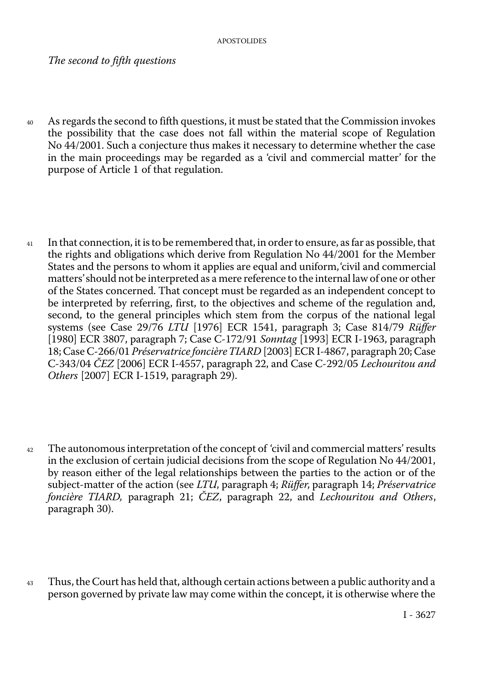*The second to fifth questions* 

- <sup>40</sup> As regards the second to fifth questions, it must be stated that the Commission invokes the possibility that the case does not fall within the material scope of Regulation No 44/2001. Such a conjecture thus makes it necessary to determine whether the case in the main proceedings may be regarded as a 'civil and commercial matter' for the purpose of Article 1 of that regulation.
- <sup>41</sup> In that connection, it is to be remembered that, in order to ensure, as far as possible, that the rights and obligations which derive from Regulation No 44/2001 for the Member States and the persons to whom it applies are equal and uniform,'civil and commercial matters'should not be interpreted as a mere reference to the internal law of one or other of the States concerned. That concept must be regarded as an independent concept to be interpreted by referring, first, to the objectives and scheme of the regulation and, second, to the general principles which stem from the corpus of the national legal systems (see Case 29/76 *LTU* [1976] ECR 1541, paragraph 3; Case 814/79 *Rüffer*  [1980] ECR 3807, paragraph 7; Case C-172/91 *Sonntag* [1993] ECR I-1963, paragraph 18; Case C-266/01 *Préservatrice foncière TIARD* [2003] ECR I-4867, paragraph 20; Case C-343/04 *ČEZ* [2006] ECR I-4557, paragraph 22, and Case C-292/05 *Lechouritou and Others* [2007] ECR I-1519, paragraph 29).
- <sup>42</sup> The autonomous interpretation of the concept of 'civil and commercial matters' results in the exclusion of certain judicial decisions from the scope of Regulation No 44/2001, by reason either of the legal relationships between the parties to the action or of the subject-matter of the action (see *LTU*, paragraph 4; *Rüffer*, paragraph 14; *Préservatrice foncière TIARD,* paragraph 21; *ČEZ*, paragraph 22, and *Lechouritou and Others*, paragraph 30).
- <sup>43</sup> Thus, the Court has held that, although certain actions between a public authority and a person governed by private law may come within the concept, it is otherwise where the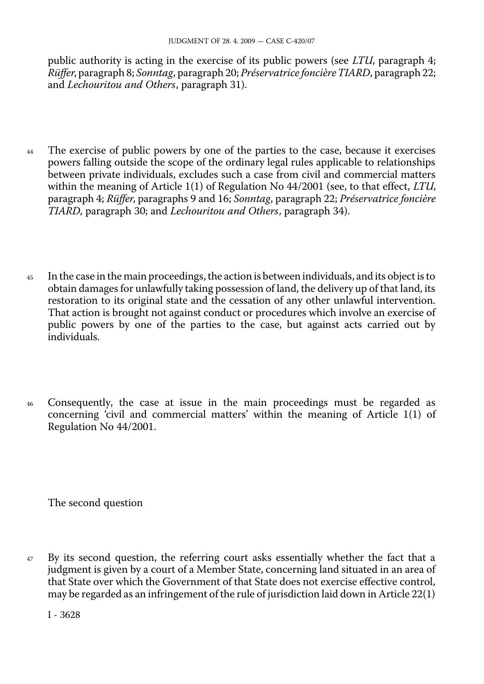public authority is acting in the exercise of its public powers (see *LTU*, paragraph 4; *Rüffer*, paragraph 8; *Sonntag*, paragraph 20; *Préservatrice foncière TIARD*, paragraph 22; and *Lechouritou and Others*, paragraph 31).

- <sup>44</sup> The exercise of public powers by one of the parties to the case, because it exercises powers falling outside the scope of the ordinary legal rules applicable to relationships between private individuals, excludes such a case from civil and commercial matters within the meaning of Article 1(1) of Regulation No 44/2001 (see, to that effect, *LTU*, paragraph 4; *Rüffer*, paragraphs 9 and 16; *Sonntag*, paragraph 22; *Préservatrice foncière TIARD*, paragraph 30; and *Lechouritou and Others*, paragraph 34).
- <sup>45</sup> In the case in the main proceedings, the action is between individuals, and its object is to obtain damages for unlawfully taking possession of land, the delivery up of that land, its restoration to its original state and the cessation of any other unlawful intervention. That action is brought not against conduct or procedures which involve an exercise of public powers by one of the parties to the case, but against acts carried out by individuals.
- <sup>46</sup> Consequently, the case at issue in the main proceedings must be regarded as concerning 'civil and commercial matters' within the meaning of Article 1(1) of Regulation No 44/2001.

The second question

<sup>47</sup> By its second question, the referring court asks essentially whether the fact that a judgment is given by a court of a Member State, concerning land situated in an area of that State over which the Government of that State does not exercise effective control, may be regarded as an infringement of the rule of jurisdiction laid down in Article 22(1)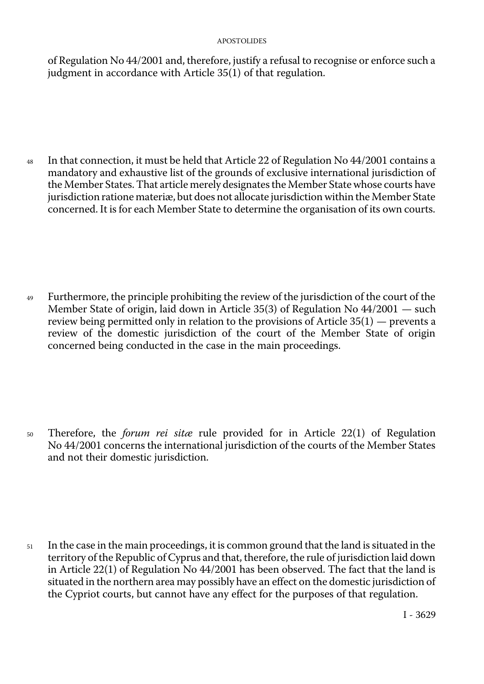of Regulation No 44/2001 and, therefore, justify a refusal to recognise or enforce such a judgment in accordance with Article 35(1) of that regulation.

<sup>48</sup> In that connection, it must be held that Article 22 of Regulation No 44/2001 contains a mandatory and exhaustive list of the grounds of exclusive international jurisdiction of the Member States. That article merely designates the Member State whose courts have jurisdiction ratione materiæ, but does not allocate jurisdiction within the Member State concerned. It is for each Member State to determine the organisation of its own courts.

<sup>49</sup> Furthermore, the principle prohibiting the review of the jurisdiction of the court of the Member State of origin, laid down in Article 35(3) of Regulation No 44/2001 — such review being permitted only in relation to the provisions of Article 35(1) — prevents a review of the domestic jurisdiction of the court of the Member State of origin concerned being conducted in the case in the main proceedings.

<sup>50</sup> Therefore, the *forum rei sitæ* rule provided for in Article 22(1) of Regulation No 44/2001 concerns the international jurisdiction of the courts of the Member States and not their domestic jurisdiction.

<sup>51</sup> In the case in the main proceedings, it is common ground that the land is situated in the territory of the Republic of Cyprus and that, therefore, the rule of jurisdiction laid down in Article 22(1) of Regulation No 44/2001 has been observed. The fact that the land is situated in the northern area may possibly have an effect on the domestic jurisdiction of the Cypriot courts, but cannot have any effect for the purposes of that regulation.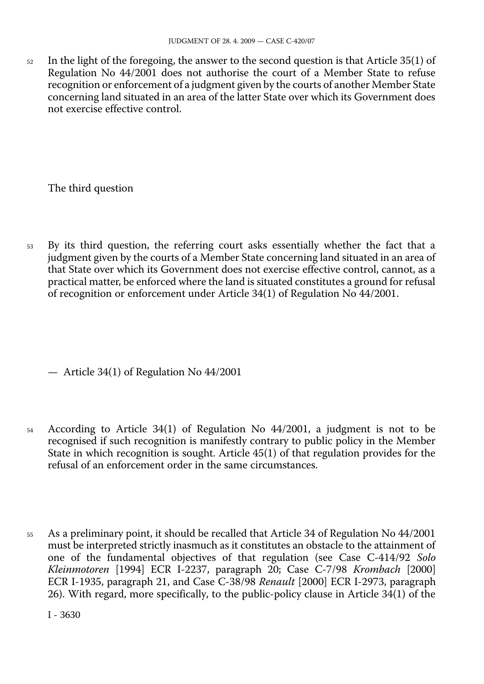<sup>52</sup> In the light of the foregoing, the answer to the second question is that Article 35(1) of Regulation No 44/2001 does not authorise the court of a Member State to refuse recognition or enforcement of a judgment given by the courts of another Member State concerning land situated in an area of the latter State over which its Government does not exercise effective control.

The third question

<sup>53</sup> By its third question, the referring court asks essentially whether the fact that a judgment given by the courts of a Member State concerning land situated in an area of that State over which its Government does not exercise effective control, cannot, as a practical matter, be enforced where the land is situated constitutes a ground for refusal of recognition or enforcement under Article 34(1) of Regulation No 44/2001.

— Article 34(1) of Regulation No 44/2001

- <sup>54</sup> According to Article 34(1) of Regulation No 44/2001, a judgment is not to be recognised if such recognition is manifestly contrary to public policy in the Member State in which recognition is sought. Article 45(1) of that regulation provides for the refusal of an enforcement order in the same circumstances.
- <sup>55</sup> As a preliminary point, it should be recalled that Article 34 of Regulation No 44/2001 must be interpreted strictly inasmuch as it constitutes an obstacle to the attainment of one of the fundamental objectives of that regulation (see Case C-414/92 *Solo Kleinmotoren* [1994] ECR I-2237, paragraph 20; Case C-7/98 *Krombach* [2000] ECR I-1935, paragraph 21, and Case C-38/98 *Renault* [2000] ECR I-2973, paragraph 26). With regard, more specifically, to the public-policy clause in Article 34(1) of the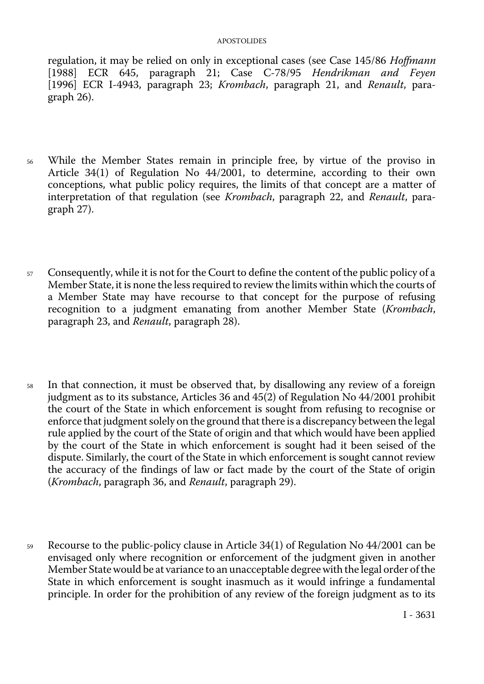regulation, it may be relied on only in exceptional cases (see Case 145/86 *Hoffmann*  [1988] ECR 645, paragraph 21; Case C-78/95 *Hendrikman and Feyen*  [1996] ECR I-4943, paragraph 23; *Krombach*, paragraph 21, and *Renault*, paragraph 26).

- <sup>56</sup> While the Member States remain in principle free, by virtue of the proviso in Article 34(1) of Regulation No 44/2001, to determine, according to their own conceptions, what public policy requires, the limits of that concept are a matter of interpretation of that regulation (see *Krombach*, paragraph 22, and *Renault*, paragraph 27).
- 57 Consequently, while it is not for the Court to define the content of the public policy of a Member State, it is none the less required to review the limits within which the courts of a Member State may have recourse to that concept for the purpose of refusing recognition to a judgment emanating from another Member State (*Krombach*, paragraph 23, and *Renault*, paragraph 28).
- <sup>58</sup> In that connection, it must be observed that, by disallowing any review of a foreign judgment as to its substance, Articles 36 and 45(2) of Regulation No 44/2001 prohibit the court of the State in which enforcement is sought from refusing to recognise or enforce that judgment solely on the ground that there is a discrepancy between the legal rule applied by the court of the State of origin and that which would have been applied by the court of the State in which enforcement is sought had it been seised of the dispute. Similarly, the court of the State in which enforcement is sought cannot review the accuracy of the findings of law or fact made by the court of the State of origin (*Krombach*, paragraph 36, and *Renault*, paragraph 29).
- <sup>59</sup> Recourse to the public-policy clause in Article 34(1) of Regulation No 44/2001 can be envisaged only where recognition or enforcement of the judgment given in another Member State would be at variance to an unacceptable degree with the legal order of the State in which enforcement is sought inasmuch as it would infringe a fundamental principle. In order for the prohibition of any review of the foreign judgment as to its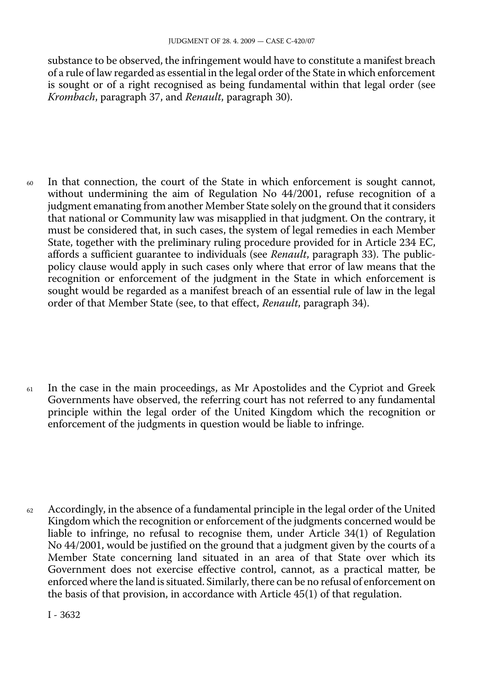substance to be observed, the infringement would have to constitute a manifest breach of a rule of law regarded as essential in the legal order of the State in which enforcement is sought or of a right recognised as being fundamental within that legal order (see *Krombach*, paragraph 37, and *Renault*, paragraph 30).

<sup>60</sup> In that connection, the court of the State in which enforcement is sought cannot, without undermining the aim of Regulation No 44/2001, refuse recognition of a judgment emanating from another Member State solely on the ground that it considers that national or Community law was misapplied in that judgment. On the contrary, it must be considered that, in such cases, the system of legal remedies in each Member State, together with the preliminary ruling procedure provided for in Article 234 EC, affords a sufficient guarantee to individuals (see *Renault*, paragraph 33). The publicpolicy clause would apply in such cases only where that error of law means that the recognition or enforcement of the judgment in the State in which enforcement is sought would be regarded as a manifest breach of an essential rule of law in the legal order of that Member State (see, to that effect, *Renault*, paragraph 34).

<sup>61</sup> In the case in the main proceedings, as Mr Apostolides and the Cypriot and Greek Governments have observed, the referring court has not referred to any fundamental principle within the legal order of the United Kingdom which the recognition or enforcement of the judgments in question would be liable to infringe.

 $62$  Accordingly, in the absence of a fundamental principle in the legal order of the United Kingdom which the recognition or enforcement of the judgments concerned would be liable to infringe, no refusal to recognise them, under Article 34(1) of Regulation No 44/2001, would be justified on the ground that a judgment given by the courts of a Member State concerning land situated in an area of that State over which its Government does not exercise effective control, cannot, as a practical matter, be enforced where the land is situated. Similarly, there can be no refusal of enforcement on the basis of that provision, in accordance with Article 45(1) of that regulation.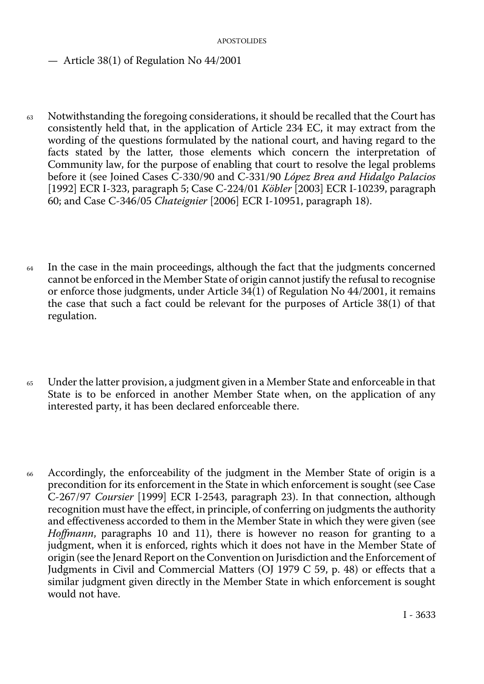— Article 38(1) of Regulation No 44/2001

- <sup>63</sup> Notwithstanding the foregoing considerations, it should be recalled that the Court has consistently held that, in the application of Article 234 EC, it may extract from the wording of the questions formulated by the national court, and having regard to the facts stated by the latter, those elements which concern the interpretation of Community law, for the purpose of enabling that court to resolve the legal problems before it (see Joined Cases C-330/90 and C-331/90 *López Brea and Hidalgo Palacios*  [1992] ECR I-323, paragraph 5; Case C-224/01 *Köbler* [2003] ECR I-10239, paragraph 60; and Case C-346/05 *Chateignier* [2006] ECR I-10951, paragraph 18).
- <sup>64</sup> In the case in the main proceedings, although the fact that the judgments concerned cannot be enforced in the Member State of origin cannot justify the refusal to recognise or enforce those judgments, under Article 34(1) of Regulation No 44/2001, it remains the case that such a fact could be relevant for the purposes of Article 38(1) of that regulation.
- <sup>65</sup> Under the latter provision, a judgment given in a Member State and enforceable in that State is to be enforced in another Member State when, on the application of any interested party, it has been declared enforceable there.
- <sup>66</sup> Accordingly, the enforceability of the judgment in the Member State of origin is a precondition for its enforcement in the State in which enforcement is sought (see Case C-267/97 *Coursier* [1999] ECR I-2543, paragraph 23). In that connection, although recognition must have the effect, in principle, of conferring on judgments the authority and effectiveness accorded to them in the Member State in which they were given (see *Hoffmann*, paragraphs 10 and 11), there is however no reason for granting to a judgment, when it is enforced, rights which it does not have in the Member State of origin (see the Jenard Report on the Convention on Jurisdiction and the Enforcement of Judgments in Civil and Commercial Matters (OJ 1979 C 59, p. 48) or effects that a similar judgment given directly in the Member State in which enforcement is sought would not have.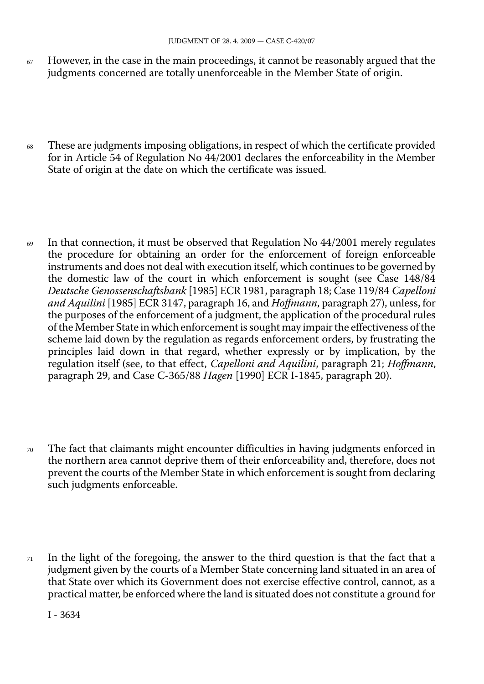- $67$  However, in the case in the main proceedings, it cannot be reasonably argued that the judgments concerned are totally unenforceable in the Member State of origin.
- <sup>68</sup> These are judgments imposing obligations, in respect of which the certificate provided for in Article 54 of Regulation No 44/2001 declares the enforceability in the Member State of origin at the date on which the certificate was issued.
- $69$  In that connection, it must be observed that Regulation No 44/2001 merely regulates the procedure for obtaining an order for the enforcement of foreign enforceable instruments and does not deal with execution itself, which continues to be governed by the domestic law of the court in which enforcement is sought (see Case 148/84 *Deutsche Genossenschaftsbank* [1985] ECR 1981, paragraph 18; Case 119/84 *Capelloni and Aquilini* [1985] ECR 3147, paragraph 16, and *Hoffmann*, paragraph 27), unless, for the purposes of the enforcement of a judgment, the application of the procedural rules of the Member State in which enforcement is sought may impair the effectiveness of the scheme laid down by the regulation as regards enforcement orders, by frustrating the principles laid down in that regard, whether expressly or by implication, by the regulation itself (see, to that effect, *Capelloni and Aquilini*, paragraph 21; *Hoffmann*, paragraph 29, and Case C-365/88 *Hagen* [1990] ECR I-1845, paragraph 20).
- <sup>70</sup> The fact that claimants might encounter difficulties in having judgments enforced in the northern area cannot deprive them of their enforceability and, therefore, does not prevent the courts of the Member State in which enforcement is sought from declaring such judgments enforceable.
- $71$  In the light of the foregoing, the answer to the third question is that the fact that a judgment given by the courts of a Member State concerning land situated in an area of that State over which its Government does not exercise effective control, cannot, as a practical matter, be enforced where the land is situated does not constitute a ground for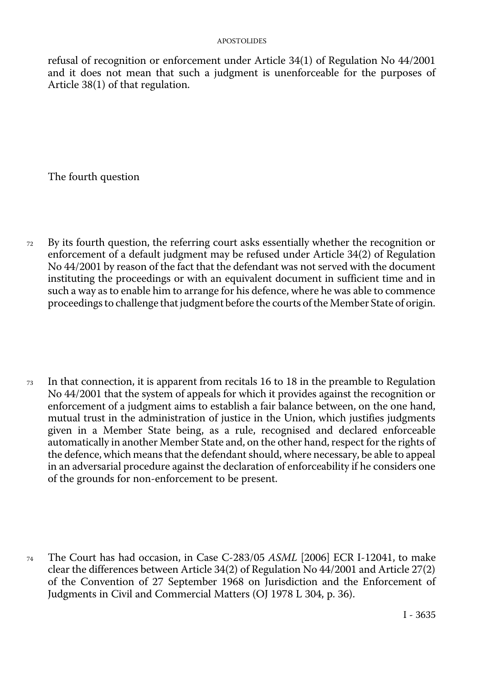refusal of recognition or enforcement under Article 34(1) of Regulation No 44/2001 and it does not mean that such a judgment is unenforceable for the purposes of Article 38(1) of that regulation.

The fourth question

- <sup>72</sup> By its fourth question, the referring court asks essentially whether the recognition or enforcement of a default judgment may be refused under Article 34(2) of Regulation No 44/2001 by reason of the fact that the defendant was not served with the document instituting the proceedings or with an equivalent document in sufficient time and in such a way as to enable him to arrange for his defence, where he was able to commence proceedings to challenge that judgment before the courts of the Member State of origin.
- <sup>73</sup> In that connection, it is apparent from recitals 16 to 18 in the preamble to Regulation No 44/2001 that the system of appeals for which it provides against the recognition or enforcement of a judgment aims to establish a fair balance between, on the one hand, mutual trust in the administration of justice in the Union, which justifies judgments given in a Member State being, as a rule, recognised and declared enforceable automatically in another Member State and, on the other hand, respect for the rights of the defence, which means that the defendant should, where necessary, be able to appeal in an adversarial procedure against the declaration of enforceability if he considers one of the grounds for non-enforcement to be present.
- The Court has had occasion, in Case C-283/05 *ASML* [2006] ECR I-12041, to make clear the differences between Article 34(2) of Regulation No 44/2001 and Article 27(2) of the Convention of 27 September 1968 on Jurisdiction and the Enforcement of Judgments in Civil and Commercial Matters (OJ 1978 L 304, p. 36). 74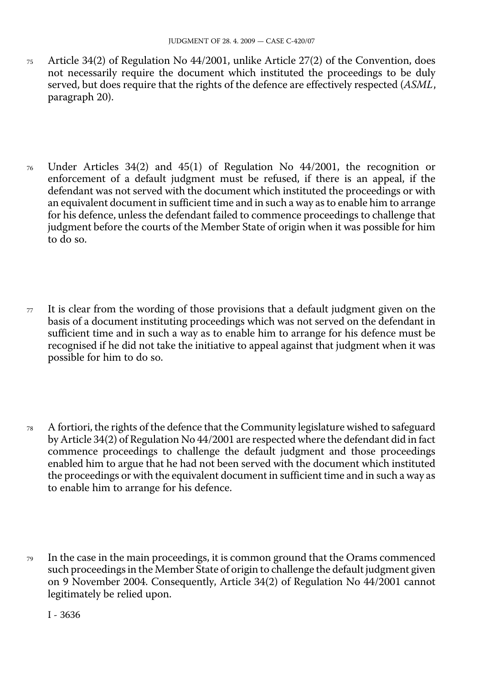- <sup>75</sup> Article 34(2) of Regulation No 44/2001, unlike Article 27(2) of the Convention, does not necessarily require the document which instituted the proceedings to be duly served, but does require that the rights of the defence are effectively respected (*ASML*, paragraph 20).
- <sup>76</sup> Under Articles 34(2) and 45(1) of Regulation No 44/2001, the recognition or enforcement of a default judgment must be refused, if there is an appeal, if the defendant was not served with the document which instituted the proceedings or with an equivalent document in sufficient time and in such a way as to enable him to arrange for his defence, unless the defendant failed to commence proceedings to challenge that judgment before the courts of the Member State of origin when it was possible for him to do so.
- $77$  It is clear from the wording of those provisions that a default judgment given on the basis of a document instituting proceedings which was not served on the defendant in sufficient time and in such a way as to enable him to arrange for his defence must be recognised if he did not take the initiative to appeal against that judgment when it was possible for him to do so.
- <sup>78</sup> A fortiori, the rights of the defence that the Community legislature wished to safeguard by Article 34(2) of Regulation No 44/2001 are respected where the defendant did in fact commence proceedings to challenge the default judgment and those proceedings enabled him to argue that he had not been served with the document which instituted the proceedings or with the equivalent document in sufficient time and in such a way as to enable him to arrange for his defence.
- <sup>79</sup> In the case in the main proceedings, it is common ground that the Orams commenced such proceedings in the Member State of origin to challenge the default judgment given on 9 November 2004. Consequently, Article 34(2) of Regulation No 44/2001 cannot legitimately be relied upon.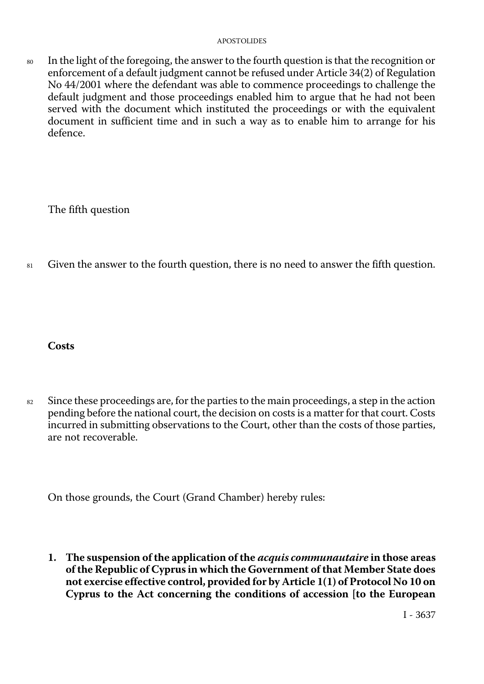<sup>80</sup> In the light of the foregoing, the answer to the fourth question is that the recognition or enforcement of a default judgment cannot be refused under Article 34(2) of Regulation No 44/2001 where the defendant was able to commence proceedings to challenge the default judgment and those proceedings enabled him to argue that he had not been served with the document which instituted the proceedings or with the equivalent document in sufficient time and in such a way as to enable him to arrange for his defence.

The fifth question

81 Given the answer to the fourth question, there is no need to answer the fifth question.

**Costs** 

 $82$  Since these proceedings are, for the parties to the main proceedings, a step in the action pending before the national court, the decision on costs is a matter for that court. Costs incurred in submitting observations to the Court, other than the costs of those parties, are not recoverable.

On those grounds, the Court (Grand Chamber) hereby rules:

**1. The suspension of the application of the** *acquis communautaire* **in those areas of the Republic of Cyprus in which the Government of that Member State does not exercise effective control, provided for by Article 1(1) of Protocol No 10 on Cyprus to the Act concerning the conditions of accession [to the European**